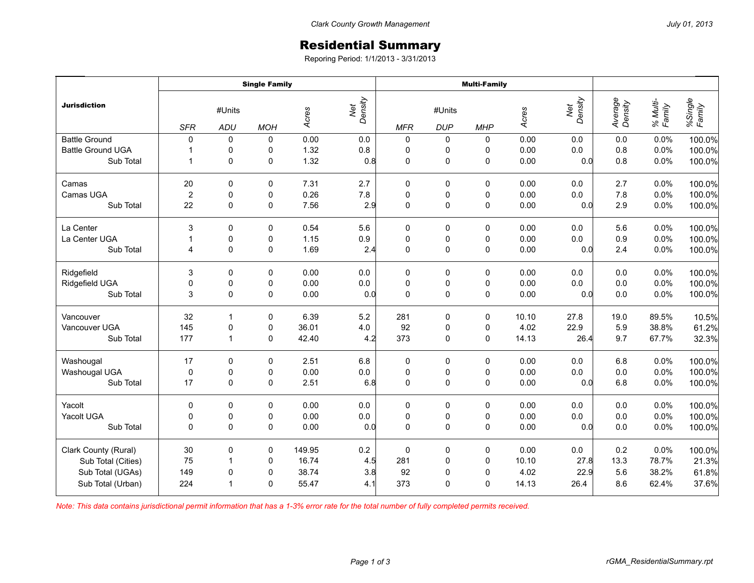## Residential Summary

Reporing Period: 1/1/2013 - 3/31/2013

|                          | <b>Single Family</b>                      |                |             |                |            | <b>Multi-Family</b>  |             |                     |       |                    |                    |                   |        |
|--------------------------|-------------------------------------------|----------------|-------------|----------------|------------|----------------------|-------------|---------------------|-------|--------------------|--------------------|-------------------|--------|
| <b>Jurisdiction</b>      | #Units<br><b>SFR</b><br>ADU<br><b>MOH</b> |                | Acres       | Net<br>Density | <b>MFR</b> | #Units<br><b>DUP</b> |             | Acres<br><b>MHP</b> |       | Average<br>Density | % Multi-<br>Family | %Single<br>Family |        |
| <b>Battle Ground</b>     | $\Omega$                                  | $\mathbf 0$    | 0           | 0.00           | 0.0        | $\mathbf 0$          | 0           | 0                   | 0.00  | 0.0                | 0.0                | 0.0%              | 100.0% |
| <b>Battle Ground UGA</b> | $\mathbf 1$                               | 0              | 0           | 1.32           | $0.8\,$    | 0                    | 0           | 0                   | 0.00  | 0.0                | 0.8                | 0.0%              | 100.0% |
| Sub Total                | $\mathbf{1}$                              | $\mathbf 0$    | 0           | 1.32           | 0.8        | $\mathbf 0$          | $\mathsf 0$ | $\mathsf 0$         | 0.00  | 0.0                | 0.8                | 0.0%              | 100.0% |
| Camas                    | 20                                        | 0              | 0           | 7.31           | 2.7        | 0                    | 0           | 0                   | 0.00  | 0.0                | 2.7                | 0.0%              | 100.0% |
| Camas UGA                | $\overline{2}$                            | $\mathbf 0$    | 0           | 0.26           | 7.8        | $\pmb{0}$            | $\pmb{0}$   | $\pmb{0}$           | 0.00  | 0.0                | 7.8                | 0.0%              | 100.0% |
| Sub Total                | 22                                        | $\Omega$       | 0           | 7.56           | 2.9        | $\mathbf 0$          | $\pmb{0}$   | $\pmb{0}$           | 0.00  | 0.0                | 2.9                | 0.0%              | 100.0% |
| La Center                | 3                                         | 0              | 0           | 0.54           | 5.6        | $\mathbf 0$          | 0           | 0                   | 0.00  | 0.0                | 5.6                | 0.0%              | 100.0% |
| La Center UGA            | $\mathbf{1}$                              | 0              | 0           | 1.15           | 0.9        | $\pmb{0}$            | $\pmb{0}$   | $\pmb{0}$           | 0.00  | 0.0                | 0.9                | 0.0%              | 100.0% |
| Sub Total                | 4                                         | $\Omega$       | $\mathbf 0$ | 1.69           | 2.4        | $\mathbf 0$          | $\mathsf 0$ | $\mathbf 0$         | 0.00  | 0.0                | 2.4                | 0.0%              | 100.0% |
| Ridgefield               | 3                                         | 0              | 0           | 0.00           | 0.0        | 0                    | 0           | 0                   | 0.00  | 0.0                | 0.0                | 0.0%              | 100.0% |
| Ridgefield UGA           | 0                                         | 0              | 0           | 0.00           | $0.0\,$    | $\pmb{0}$            | $\pmb{0}$   | $\pmb{0}$           | 0.00  | 0.0                | 0.0                | 0.0%              | 100.0% |
| Sub Total                | 3                                         | $\mathbf 0$    | $\pmb{0}$   | 0.00           | 0.0        | $\mathbf 0$          | $\mathsf 0$ | $\mathsf 0$         | 0.00  | 0.0                | 0.0                | 0.0%              | 100.0% |
| Vancouver                | 32                                        | $\mathbf{1}$   | 0           | 6.39           | 5.2        | 281                  | $\pmb{0}$   | $\pmb{0}$           | 10.10 | 27.8               | 19.0               | 89.5%             | 10.5%  |
| Vancouver UGA            | 145                                       | 0              | 0           | 36.01          | 4.0        | 92                   | 0           | $\pmb{0}$           | 4.02  | 22.9               | 5.9                | 38.8%             | 61.2%  |
| Sub Total                | 177                                       | $\overline{1}$ | 0           | 42.40          | 4.2        | 373                  | 0           | $\pmb{0}$           | 14.13 | 26.4               | 9.7                | 67.7%             | 32.3%  |
| Washougal                | 17                                        | $\Omega$       | 0           | 2.51           | 6.8        | $\mathbf 0$          | 0           | 0                   | 0.00  | 0.0                | 6.8                | 0.0%              | 100.0% |
| Washougal UGA            | $\pmb{0}$                                 | $\pmb{0}$      | 0           | 0.00           | $0.0\,$    | $\mathbf 0$          | $\pmb{0}$   | $\pmb{0}$           | 0.00  | $0.0\,$            | $0.0\,$            | 0.0%              | 100.0% |
| Sub Total                | 17                                        | 0              | $\mathbf 0$ | 2.51           | 6.8        | $\mathbf 0$          | $\mathsf 0$ | $\pmb{0}$           | 0.00  | 0.0                | 6.8                | 0.0%              | 100.0% |
| Yacolt                   | 0                                         | 0              | 0           | 0.00           | 0.0        | 0                    | 0           | 0                   | 0.00  | 0.0                | 0.0                | 0.0%              | 100.0% |
| Yacolt UGA               | 0                                         | 0              | 0           | 0.00           | $0.0\,$    | $\pmb{0}$            | $\pmb{0}$   | $\pmb{0}$           | 0.00  | 0.0                | 0.0                | 0.0%              | 100.0% |
| Sub Total                | $\Omega$                                  | $\mathbf 0$    | $\mathbf 0$ | 0.00           | 0.0        | $\mathbf 0$          | $\pmb{0}$   | $\pmb{0}$           | 0.00  | 0.0                | 0.0                | 0.0%              | 100.0% |
| Clark County (Rural)     | 30                                        | 0              | 0           | 149.95         | $0.2\,$    | $\mathbf 0$          | $\pmb{0}$   | $\pmb{0}$           | 0.00  | $0.0\,$            | 0.2                | 0.0%              | 100.0% |
| Sub Total (Cities)       | 75                                        | $\overline{1}$ | 0           | 16.74          | 4.5        | 281                  | $\pmb{0}$   | 0                   | 10.10 | 27.8               | 13.3               | 78.7%             | 21.3%  |
| Sub Total (UGAs)         | 149                                       | 0              | 0           | 38.74          | 3.8        | 92                   | $\pmb{0}$   | $\pmb{0}$           | 4.02  | 22.9               | 5.6                | 38.2%             | 61.8%  |
| Sub Total (Urban)        | 224                                       | $\mathbf 1$    | 0           | 55.47          | 4.1        | 373                  | 0           | $\mathbf 0$         | 14.13 | 26.4               | 8.6                | 62.4%             | 37.6%  |

*Note: This data contains jurisdictional permit information that has a 1-3% error rate for the total number of fully completed permits received.*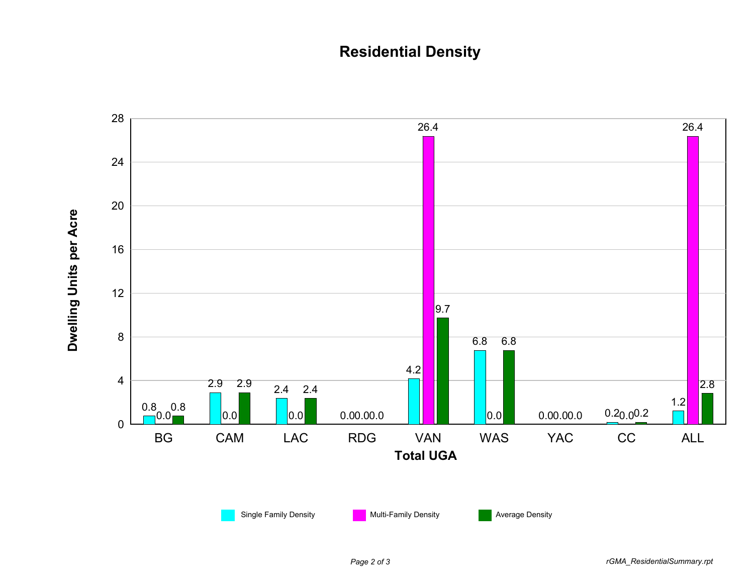## **Residential Density**